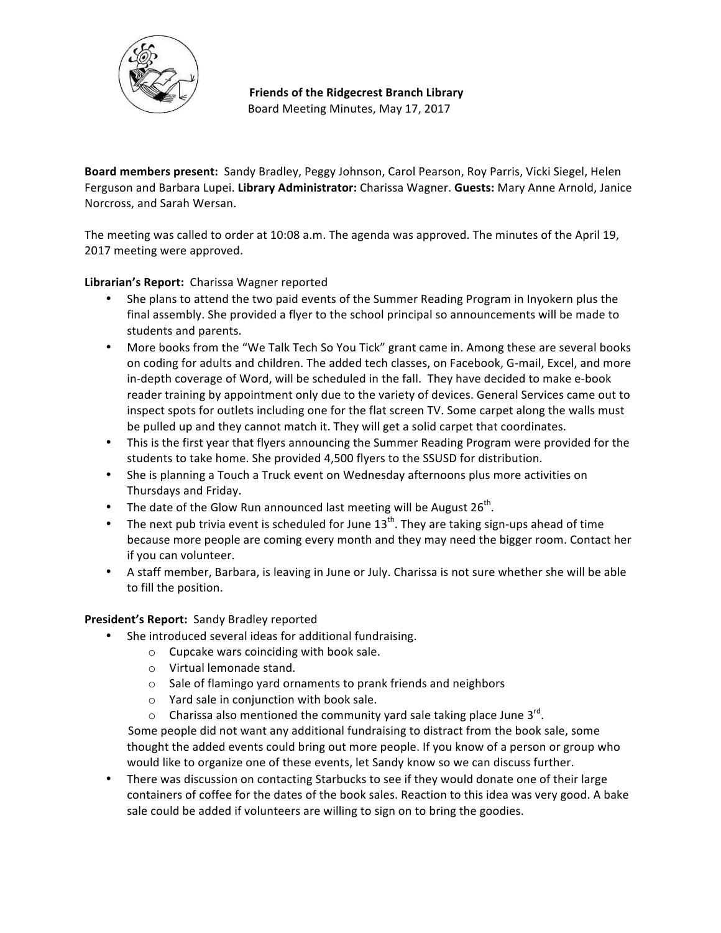

**Friends of the Ridgecrest Branch Library** Board Meeting Minutes, May 17, 2017

**Board members present:** Sandy Bradley, Peggy Johnson, Carol Pearson, Roy Parris, Vicki Siegel, Helen Ferguson and Barbara Lupei. Library Administrator: Charissa Wagner. Guests: Mary Anne Arnold, Janice Norcross, and Sarah Wersan.

The meeting was called to order at 10:08 a.m. The agenda was approved. The minutes of the April 19, 2017 meeting were approved.

# Librarian's Report: Charissa Wagner reported

- She plans to attend the two paid events of the Summer Reading Program in Inyokern plus the final assembly. She provided a flyer to the school principal so announcements will be made to students and parents.
- More books from the "We Talk Tech So You Tick" grant came in. Among these are several books on coding for adults and children. The added tech classes, on Facebook, G-mail, Excel, and more in-depth coverage of Word, will be scheduled in the fall. They have decided to make e-book reader training by appointment only due to the variety of devices. General Services came out to inspect spots for outlets including one for the flat screen TV. Some carpet along the walls must be pulled up and they cannot match it. They will get a solid carpet that coordinates.
- This is the first year that flyers announcing the Summer Reading Program were provided for the students to take home. She provided 4,500 flyers to the SSUSD for distribution.
- She is planning a Touch a Truck event on Wednesday afternoons plus more activities on Thursdays and Friday.
- The date of the Glow Run announced last meeting will be August  $26^{th}$ .
- The next pub trivia event is scheduled for June  $13^{th}$ . They are taking sign-ups ahead of time because more people are coming every month and they may need the bigger room. Contact her if you can volunteer.
- A staff member, Barbara, is leaving in June or July. Charissa is not sure whether she will be able to fill the position.

### **President's Report:** Sandy Bradley reported

- She introduced several ideas for additional fundraising.
	- $\circ$  Cupcake wars coinciding with book sale.
	- o Virtual lemonade stand.
	- $\circ$  Sale of flamingo vard ornaments to prank friends and neighbors
	- $\circ$  Yard sale in conjunction with book sale.
	- o Charissa also mentioned the community yard sale taking place June  $3^{rd}$ .

Some people did not want any additional fundraising to distract from the book sale, some thought the added events could bring out more people. If you know of a person or group who would like to organize one of these events, let Sandy know so we can discuss further.

• There was discussion on contacting Starbucks to see if they would donate one of their large containers of coffee for the dates of the book sales. Reaction to this idea was very good. A bake sale could be added if volunteers are willing to sign on to bring the goodies.